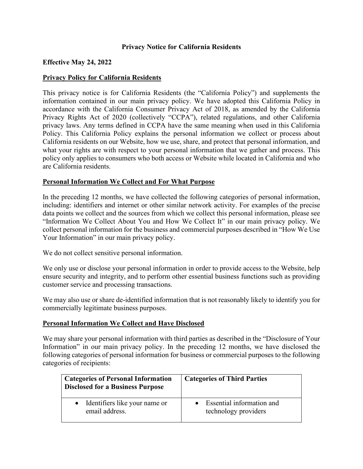### **Privacy Notice for California Residents**

#### **Effective May 24, 2022**

### **Privacy Policy for California Residents**

This privacy notice is for California Residents (the "California Policy") and supplements the information contained in our main privacy policy. We have adopted this California Policy in accordance with the California Consumer Privacy Act of 2018, as amended by the California Privacy Rights Act of 2020 (collectively "CCPA"), related regulations, and other California privacy laws. Any terms defined in CCPA have the same meaning when used in this California Policy. This California Policy explains the personal information we collect or process about California residents on our Website, how we use, share, and protect that personal information, and what your rights are with respect to your personal information that we gather and process. This policy only applies to consumers who both access or Website while located in California and who are California residents.

#### **Personal Information We Collect and For What Purpose**

In the preceding 12 months, we have collected the following categories of personal information, including: identifiers and internet or other similar network activity. For examples of the precise data points we collect and the sources from which we collect this personal information, please see "Information We Collect About You and How We Collect It" in our main privacy policy. We collect personal information for the business and commercial purposes described in "How We Use Your Information" in our main privacy policy.

We do not collect sensitive personal information.

We only use or disclose your personal information in order to provide access to the Website, help ensure security and integrity, and to perform other essential business functions such as providing customer service and processing transactions.

We may also use or share de-identified information that is not reasonably likely to identify you for commercially legitimate business purposes.

#### **Personal Information We Collect and Have Disclosed**

We may share your personal information with third parties as described in the "Disclosure of Your Information" in our main privacy policy. In the preceding 12 months, we have disclosed the following categories of personal information for business or commercial purposes to the following categories of recipients:

| <b>Categories of Personal Information</b><br><b>Disclosed for a Business Purpose</b> | <b>Categories of Third Parties</b> |
|--------------------------------------------------------------------------------------|------------------------------------|
| • Identifiers like your name or                                                      | Essential information and          |
| email address.                                                                       | technology providers               |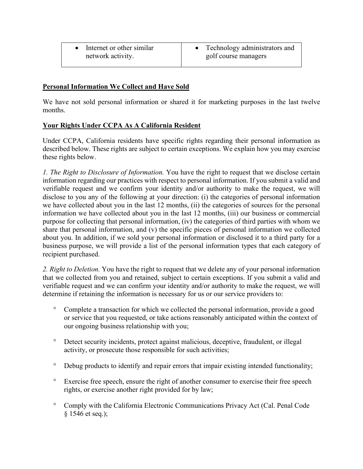| $\bullet$ | Internet or other similar |  |
|-----------|---------------------------|--|
|           | network activity.         |  |

## **Personal Information We Collect and Have Sold**

We have not sold personal information or shared it for marketing purposes in the last twelve months.

# **Your Rights Under CCPA As A California Resident**

Under CCPA, California residents have specific rights regarding their personal information as described below. These rights are subject to certain exceptions. We explain how you may exercise these rights below.

*1. The Right to Disclosure of Information.* You have the right to request that we disclose certain information regarding our practices with respect to personal information. If you submit a valid and verifiable request and we confirm your identity and/or authority to make the request, we will disclose to you any of the following at your direction: (i) the categories of personal information we have collected about you in the last 12 months, (ii) the categories of sources for the personal information we have collected about you in the last 12 months, (iii) our business or commercial purpose for collecting that personal information, (iv) the categories of third parties with whom we share that personal information, and (v) the specific pieces of personal information we collected about you. In addition, if we sold your personal information or disclosed it to a third party for a business purpose, we will provide a list of the personal information types that each category of recipient purchased.

*2. Right to Deletion.* You have the right to request that we delete any of your personal information that we collected from you and retained, subject to certain exceptions. If you submit a valid and verifiable request and we can confirm your identity and/or authority to make the request, we will determine if retaining the information is necessary for us or our service providers to:

- ° Complete a transaction for which we collected the personal information, provide a good or service that you requested, or take actions reasonably anticipated within the context of our ongoing business relationship with you;
- ° Detect security incidents, protect against malicious, deceptive, fraudulent, or illegal activity, or prosecute those responsible for such activities;
- ° Debug products to identify and repair errors that impair existing intended functionality;
- ° Exercise free speech, ensure the right of another consumer to exercise their free speech rights, or exercise another right provided for by law;
- ° Comply with the California Electronic Communications Privacy Act (Cal. Penal Code § 1546 et seq.);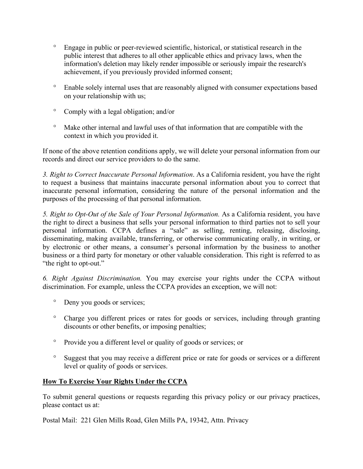- ° Engage in public or peer-reviewed scientific, historical, or statistical research in the public interest that adheres to all other applicable ethics and privacy laws, when the information's deletion may likely render impossible or seriously impair the research's achievement, if you previously provided informed consent;
- ° Enable solely internal uses that are reasonably aligned with consumer expectations based on your relationship with us;
- ° Comply with a legal obligation; and/or
- ° Make other internal and lawful uses of that information that are compatible with the context in which you provided it.

If none of the above retention conditions apply, we will delete your personal information from our records and direct our service providers to do the same.

*3. Right to Correct Inaccurate Personal Information*. As a California resident, you have the right to request a business that maintains inaccurate personal information about you to correct that inaccurate personal information, considering the nature of the personal information and the purposes of the processing of that personal information.

*5. Right to Opt-Out of the Sale of Your Personal Information.* As a California resident, you have the right to direct a business that sells your personal information to third parties not to sell your personal information. CCPA defines a "sale" as selling, renting, releasing, disclosing, disseminating, making available, transferring, or otherwise communicating orally, in writing, or by electronic or other means, a consumer's personal information by the business to another business or a third party for monetary or other valuable consideration. This right is referred to as "the right to opt-out."

*6. Right Against Discrimination.* You may exercise your rights under the CCPA without discrimination. For example, unless the CCPA provides an exception, we will not:

- ° Deny you goods or services;
- ° Charge you different prices or rates for goods or services, including through granting discounts or other benefits, or imposing penalties;
- ° Provide you a different level or quality of goods or services; or
- ° Suggest that you may receive a different price or rate for goods or services or a different level or quality of goods or services.

## **How To Exercise Your Rights Under the CCPA**

To submit general questions or requests regarding this privacy policy or our privacy practices, please contact us at:

Postal Mail: 221 Glen Mills Road, Glen Mills PA, 19342, Attn. Privacy